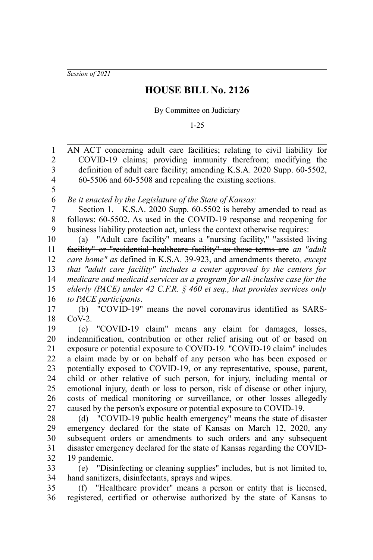*Session of 2021*

## **HOUSE BILL No. 2126**

By Committee on Judiciary

1-25

AN ACT concerning adult care facilities; relating to civil liability for COVID-19 claims; providing immunity therefrom; modifying the definition of adult care facility; amending K.S.A. 2020 Supp. 60-5502, 60-5506 and 60-5508 and repealing the existing sections. *Be it enacted by the Legislature of the State of Kansas:* Section 1. K.S.A. 2020 Supp. 60-5502 is hereby amended to read as follows: 60-5502. As used in the COVID-19 response and reopening for business liability protection act, unless the context otherwise requires: (a) "Adult care facility" means a "nursing facility," "assisted living facility" or "residential healthcare facility" as those terms are *an "adult care home" as* defined in K.S.A. 39-923, and amendments thereto*, except that "adult care facility" includes a center approved by the centers for medicare and medicaid services as a program for all-inclusive case for the elderly (PACE) under 42 C.F.R. § 460 et seq., that provides services only to PACE participants*. (b) "COVID-19" means the novel coronavirus identified as SARS- $CoV-2$ . (c) "COVID-19 claim" means any claim for damages, losses, indemnification, contribution or other relief arising out of or based on exposure or potential exposure to COVID-19. "COVID-19 claim" includes a claim made by or on behalf of any person who has been exposed or potentially exposed to COVID-19, or any representative, spouse, parent, child or other relative of such person, for injury, including mental or emotional injury, death or loss to person, risk of disease or other injury, costs of medical monitoring or surveillance, or other losses allegedly caused by the person's exposure or potential exposure to COVID-19. (d) "COVID-19 public health emergency" means the state of disaster emergency declared for the state of Kansas on March 12, 2020, any subsequent orders or amendments to such orders and any subsequent disaster emergency declared for the state of Kansas regarding the COVID-19 pandemic. (e) "Disinfecting or cleaning supplies" includes, but is not limited to, hand sanitizers, disinfectants, sprays and wipes. (f) "Healthcare provider" means a person or entity that is licensed, registered, certified or otherwise authorized by the state of Kansas to 1 2 3 4 5 6 7 8 9 10 11 12 13 14 15 16 17 18 19 20 21 22 23 24 25 26 27 28 29 30 31 32 33 34 35 36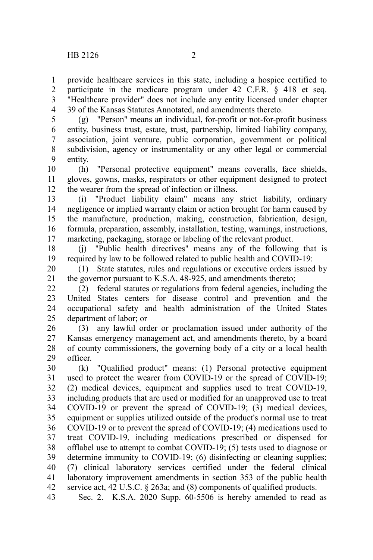provide healthcare services in this state, including a hospice certified to participate in the medicare program under 42 C.F.R. § 418 et seq. "Healthcare provider" does not include any entity licensed under chapter 39 of the Kansas Statutes Annotated, and amendments thereto. 1 2 3 4

(g) "Person" means an individual, for-profit or not-for-profit business entity, business trust, estate, trust, partnership, limited liability company, association, joint venture, public corporation, government or political subdivision, agency or instrumentality or any other legal or commercial entity. 5 6 7 8 9

(h) "Personal protective equipment" means coveralls, face shields, gloves, gowns, masks, respirators or other equipment designed to protect the wearer from the spread of infection or illness. 10 11 12

(i) "Product liability claim" means any strict liability, ordinary negligence or implied warranty claim or action brought for harm caused by the manufacture, production, making, construction, fabrication, design, formula, preparation, assembly, installation, testing, warnings, instructions, marketing, packaging, storage or labeling of the relevant product. 13 14 15 16 17

(j) "Public health directives" means any of the following that is required by law to be followed related to public health and COVID-19: 18 19

(1) State statutes, rules and regulations or executive orders issued by the governor pursuant to K.S.A. 48-925, and amendments thereto; 20 21

(2) federal statutes or regulations from federal agencies, including the United States centers for disease control and prevention and the occupational safety and health administration of the United States department of labor; or 22 23 24 25

(3) any lawful order or proclamation issued under authority of the Kansas emergency management act, and amendments thereto, by a board of county commissioners, the governing body of a city or a local health officer. 26 27 28 29

(k) "Qualified product" means: (1) Personal protective equipment used to protect the wearer from COVID-19 or the spread of COVID-19; (2) medical devices, equipment and supplies used to treat COVID-19, including products that are used or modified for an unapproved use to treat COVID-19 or prevent the spread of COVID-19; (3) medical devices, equipment or supplies utilized outside of the product's normal use to treat COVID-19 or to prevent the spread of COVID-19; (4) medications used to treat COVID-19, including medications prescribed or dispensed for offlabel use to attempt to combat COVID-19; (5) tests used to diagnose or determine immunity to COVID-19; (6) disinfecting or cleaning supplies; (7) clinical laboratory services certified under the federal clinical laboratory improvement amendments in section 353 of the public health service act, 42 U.S.C. § 263a; and (8) components of qualified products. 30 31 32 33 34 35 36 37 38 39 40 41 42

Sec. 2. K.S.A. 2020 Supp. 60-5506 is hereby amended to read as 43